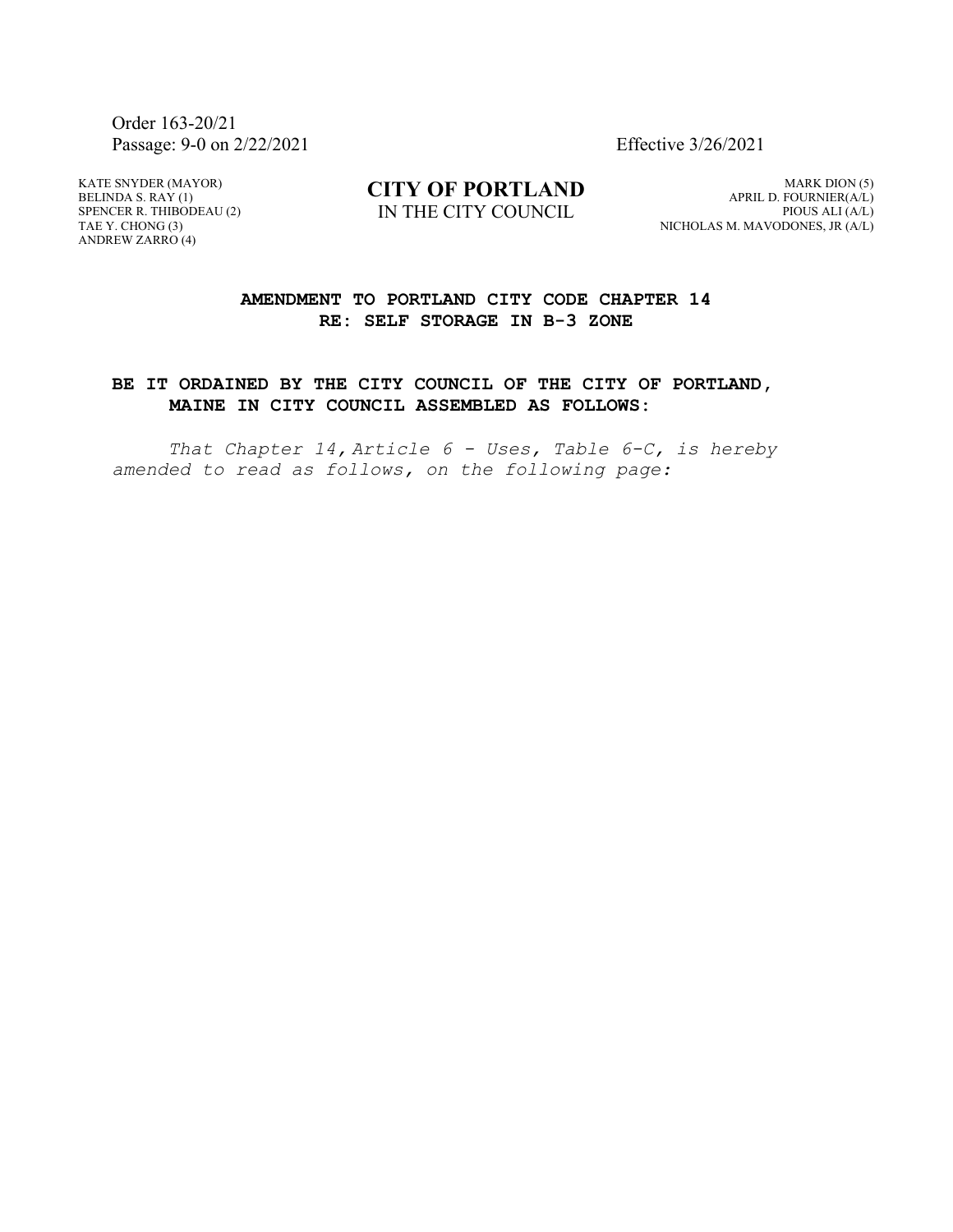Order 163-20/21 Passage: 9-0 on 2/22/2021 Effective 3/26/2021

KATE SNYDER (MAYOR) BELINDA S. RAY (1) SPENCER R. THIBODEAU (2) TAE Y. CHONG (3) ANDREW ZARRO (4)

**CITY OF PORTLAND** IN THE CITY COUNCIL

MARK DION (5) APRIL D. FOURNIER(A/L) PIOUS ALI (A/L) NICHOLAS M. MAVODONES, JR (A/L)

## **AMENDMENT TO PORTLAND CITY CODE CHAPTER 14 RE: SELF STORAGE IN B-3 ZONE**

## **BE IT ORDAINED BY THE CITY COUNCIL OF THE CITY OF PORTLAND, MAINE IN CITY COUNCIL ASSEMBLED AS FOLLOWS:**

*That Chapter 14, Article 6 - Uses, Table 6-C, is hereby amended to read as follows, on the following page:*